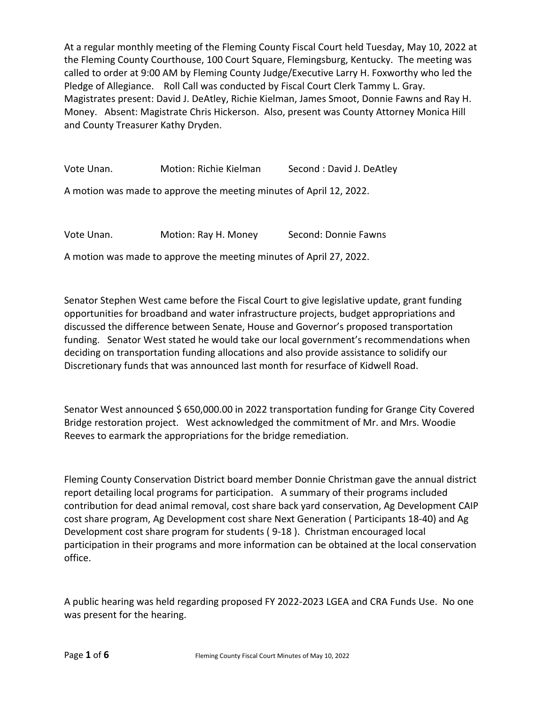At a regular monthly meeting of the Fleming County Fiscal Court held Tuesday, May 10, 2022 at the Fleming County Courthouse, 100 Court Square, Flemingsburg, Kentucky. The meeting was called to order at 9:00 AM by Fleming County Judge/Executive Larry H. Foxworthy who led the Pledge of Allegiance. Roll Call was conducted by Fiscal Court Clerk Tammy L. Gray. Magistrates present: David J. DeAtley, Richie Kielman, James Smoot, Donnie Fawns and Ray H. Money. Absent: Magistrate Chris Hickerson. Also, present was County Attorney Monica Hill and County Treasurer Kathy Dryden.

Vote Unan. Motion: Richie Kielman Second : David J. DeAtley

A motion was made to approve the meeting minutes of April 12, 2022.

Vote Unan. Motion: Ray H. Money Second: Donnie Fawns

A motion was made to approve the meeting minutes of April 27, 2022.

Senator Stephen West came before the Fiscal Court to give legislative update, grant funding opportunities for broadband and water infrastructure projects, budget appropriations and discussed the difference between Senate, House and Governor's proposed transportation funding. Senator West stated he would take our local government's recommendations when deciding on transportation funding allocations and also provide assistance to solidify our Discretionary funds that was announced last month for resurface of Kidwell Road.

Senator West announced \$650,000.00 in 2022 transportation funding for Grange City Covered Bridge restoration project. West acknowledged the commitment of Mr. and Mrs. Woodie Reeves to earmark the appropriations for the bridge remediation.

Fleming County Conservation District board member Donnie Christman gave the annual district report detailing local programs for participation. A summary of their programs included contribution for dead animal removal, cost share back yard conservation, Ag Development CAIP cost share program, Ag Development cost share Next Generation ( Participants 18-40) and Ag Development cost share program for students ( 9-18 ). Christman encouraged local participation in their programs and more information can be obtained at the local conservation office.

A public hearing was held regarding proposed FY 2022-2023 LGEA and CRA Funds Use. No one was present for the hearing.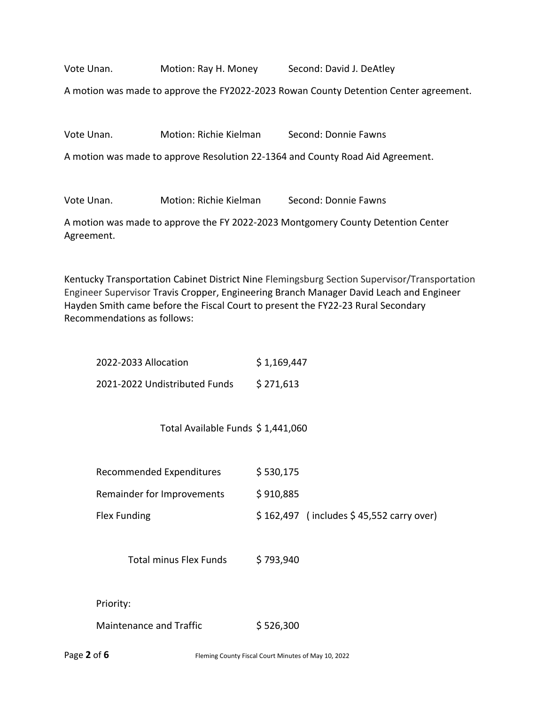Vote Unan. Motion: Ray H. Money Second: David J. DeAtley

A motion was made to approve the FY2022-2023 Rowan County Detention Center agreement.

|  | Vote Unan. | Motion: Richie Kielman | Second: Donnie Fawns |
|--|------------|------------------------|----------------------|
|--|------------|------------------------|----------------------|

A motion was made to approve Resolution 22-1364 and County Road Aid Agreement.

Vote Unan. Motion: Richie Kielman Second: Donnie Fawns

A motion was made to approve the FY 2022-2023 Montgomery County Detention Center Agreement.

Kentucky Transportation Cabinet District Nine Flemingsburg Section Supervisor/Transportation Engineer Supervisor Travis Cropper, Engineering Branch Manager David Leach and Engineer Hayden Smith came before the Fiscal Court to present the FY22-23 Rural Secondary Recommendations as follows:

| 2022-2033 Allocation          | \$1,169,447 |
|-------------------------------|-------------|
| 2021-2022 Undistributed Funds | \$271,613   |

Total Available Funds \$ 1,441,060

| Recommended Expenditures   | \$530,175                                  |
|----------------------------|--------------------------------------------|
| Remainder for Improvements | \$910,885                                  |
| Flex Funding               | $$162,497$ (includes $$45,552$ carry over) |

Total minus Flex Funds \$793,940

Priority:

| <b>Maintenance and Traffic</b> | \$526,300 |
|--------------------------------|-----------|
|                                |           |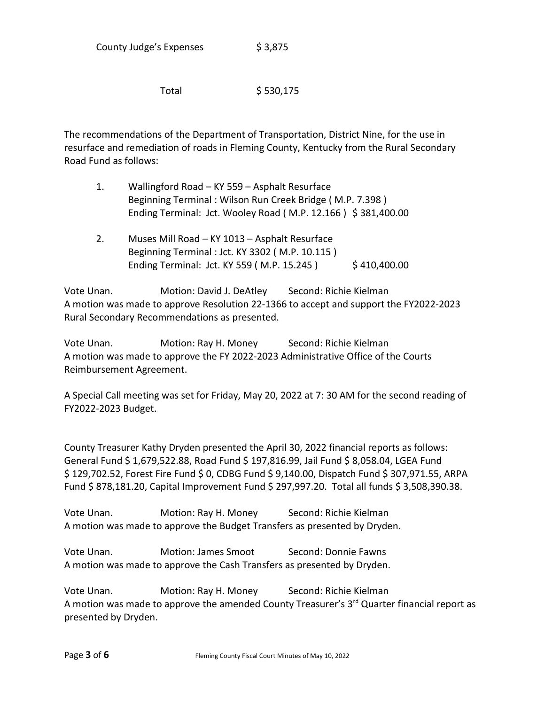Total \$ 530,175

The recommendations of the Department of Transportation, District Nine, for the use in resurface and remediation of roads in Fleming County, Kentucky from the Rural Secondary Road Fund as follows:

- 1. Wallingford Road KY 559 Asphalt Resurface Beginning Terminal : Wilson Run Creek Bridge ( M.P. 7.398 ) Ending Terminal: Jct. Wooley Road (M.P. 12.166) \$ 381,400.00
- 2. Muses Mill Road KY 1013 Asphalt Resurface Beginning Terminal : Jct. KY 3302 ( M.P. 10.115 ) Ending Terminal: Jct. KY 559 (M.P. 15.245) \$410,400.00

Vote Unan. Motion: David J. DeAtley Second: Richie Kielman A motion was made to approve Resolution 22-1366 to accept and support the FY2022-2023 Rural Secondary Recommendations as presented.

Vote Unan. Motion: Ray H. Money Second: Richie Kielman A motion was made to approve the FY 2022-2023 Administrative Office of the Courts Reimbursement Agreement.

A Special Call meeting was set for Friday, May 20, 2022 at 7: 30 AM for the second reading of FY2022-2023 Budget.

County Treasurer Kathy Dryden presented the April 30, 2022 financial reports as follows: General Fund \$ 1,679,522.88, Road Fund \$ 197,816.99, Jail Fund \$ 8,058.04, LGEA Fund \$ 129,702.52, Forest Fire Fund \$ 0, CDBG Fund \$ 9,140.00, Dispatch Fund \$ 307,971.55, ARPA Fund \$ 878,181.20, Capital Improvement Fund \$ 297,997.20. Total all funds \$ 3,508,390.38.

Vote Unan. Motion: Ray H. Money Second: Richie Kielman A motion was made to approve the Budget Transfers as presented by Dryden.

Vote Unan. Motion: James Smoot Second: Donnie Fawns A motion was made to approve the Cash Transfers as presented by Dryden.

Vote Unan. Motion: Ray H. Money Second: Richie Kielman A motion was made to approve the amended County Treasurer's  $3<sup>rd</sup>$  Quarter financial report as presented by Dryden.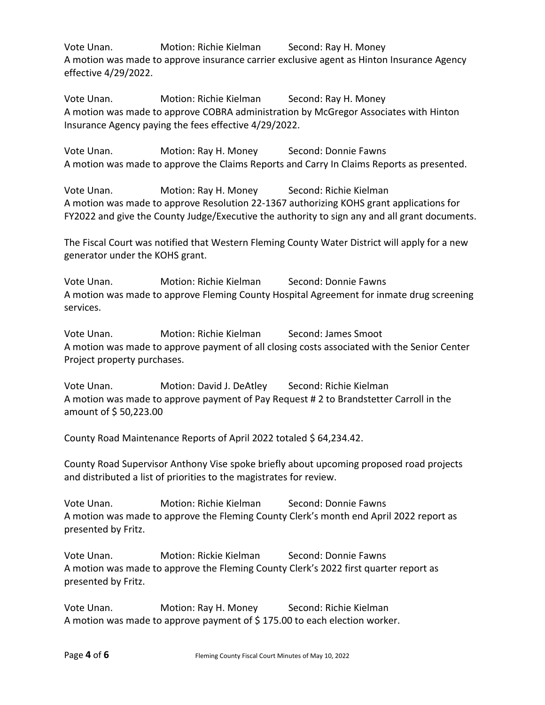Vote Unan. Motion: Richie Kielman Second: Ray H. Money A motion was made to approve insurance carrier exclusive agent as Hinton Insurance Agency effective 4/29/2022.

Vote Unan. Motion: Richie Kielman Second: Ray H. Money A motion was made to approve COBRA administration by McGregor Associates with Hinton Insurance Agency paying the fees effective 4/29/2022.

Vote Unan. Motion: Ray H. Money Second: Donnie Fawns A motion was made to approve the Claims Reports and Carry In Claims Reports as presented.

Vote Unan. Motion: Ray H. Money Second: Richie Kielman A motion was made to approve Resolution 22-1367 authorizing KOHS grant applications for FY2022 and give the County Judge/Executive the authority to sign any and all grant documents.

The Fiscal Court was notified that Western Fleming County Water District will apply for a new generator under the KOHS grant.

Vote Unan. Motion: Richie Kielman Second: Donnie Fawns A motion was made to approve Fleming County Hospital Agreement for inmate drug screening services.

Vote Unan. Motion: Richie Kielman Second: James Smoot A motion was made to approve payment of all closing costs associated with the Senior Center Project property purchases.

Vote Unan. Motion: David J. DeAtley Second: Richie Kielman A motion was made to approve payment of Pay Request # 2 to Brandstetter Carroll in the amount of \$ 50,223.00

County Road Maintenance Reports of April 2022 totaled \$ 64,234.42.

County Road Supervisor Anthony Vise spoke briefly about upcoming proposed road projects and distributed a list of priorities to the magistrates for review.

Vote Unan. Motion: Richie Kielman Second: Donnie Fawns A motion was made to approve the Fleming County Clerk's month end April 2022 report as presented by Fritz.

Vote Unan. Motion: Rickie Kielman Second: Donnie Fawns A motion was made to approve the Fleming County Clerk's 2022 first quarter report as presented by Fritz.

Vote Unan. Motion: Ray H. Money Second: Richie Kielman A motion was made to approve payment of \$ 175.00 to each election worker.